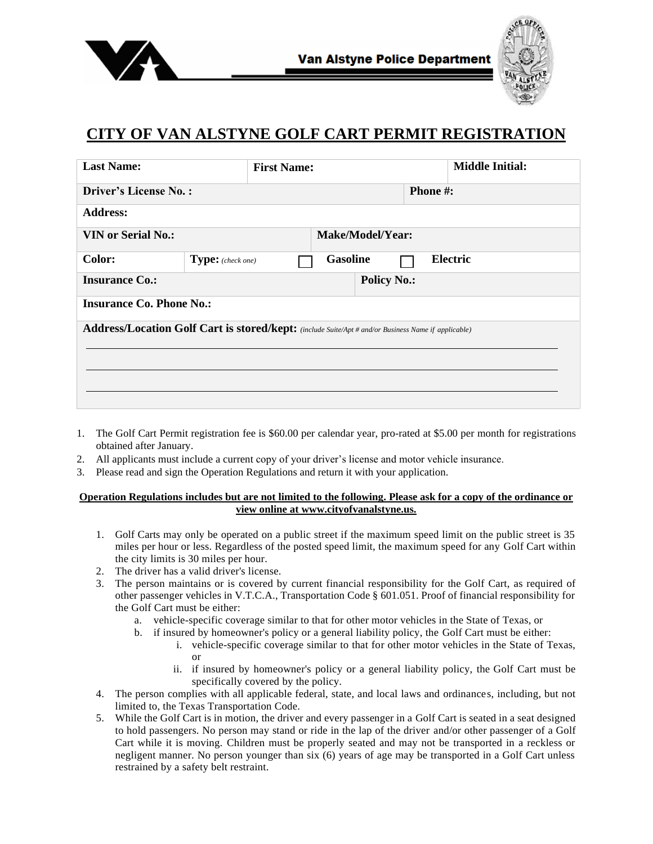



## **CITY OF VAN ALSTYNE GOLF CART PERMIT REGISTRATION**

| <b>Last Name:</b>                                                                                          |                   | <b>First Name:</b> |                 |          |                 | <b>Middle Initial:</b> |  |  |
|------------------------------------------------------------------------------------------------------------|-------------------|--------------------|-----------------|----------|-----------------|------------------------|--|--|
| <b>Driver's License No.:</b>                                                                               |                   |                    |                 |          | <b>Phone</b> #: |                        |  |  |
| <b>Address:</b>                                                                                            |                   |                    |                 |          |                 |                        |  |  |
| <b>VIN or Serial No.:</b><br>Make/Model/Year:                                                              |                   |                    |                 |          |                 |                        |  |  |
| Color:                                                                                                     | Type: (check one) |                    | <b>Gasoline</b> | Electric |                 |                        |  |  |
| <b>Policy No.:</b><br><b>Insurance Co.:</b>                                                                |                   |                    |                 |          |                 |                        |  |  |
| <b>Insurance Co. Phone No.:</b>                                                                            |                   |                    |                 |          |                 |                        |  |  |
| <b>Address/Location Golf Cart is stored/kept:</b> (include Suite/Apt # and/or Business Name if applicable) |                   |                    |                 |          |                 |                        |  |  |
|                                                                                                            |                   |                    |                 |          |                 |                        |  |  |
|                                                                                                            |                   |                    |                 |          |                 |                        |  |  |
|                                                                                                            |                   |                    |                 |          |                 |                        |  |  |

- 1. The Golf Cart Permit registration fee is \$60.00 per calendar year, pro-rated at \$5.00 per month for registrations obtained after January.
- 2. All applicants must include a current copy of your driver's license and motor vehicle insurance.
- 3. Please read and sign the Operation Regulations and return it with your application.

## **Operation Regulations includes but are not limited to the following. Please ask for a copy of the ordinance or view online at www.cityofvanalstyne.us.**

- 1. Golf Carts may only be operated on a public street if the maximum speed limit on the public street is 35 miles per hour or less. Regardless of the posted speed limit, the maximum speed for any Golf Cart within the city limits is 30 miles per hour.
- 2. The driver has a valid driver's license.
- 3. The person maintains or is covered by current financial responsibility for the Golf Cart, as required of other passenger vehicles in V.T.C.A., Transportation Code § 601.051. Proof of financial responsibility for the Golf Cart must be either:
	- a. vehicle-specific coverage similar to that for other motor vehicles in the State of Texas, or
	- b. if insured by homeowner's policy or a general liability policy, the Golf Cart must be either:
		- i. vehicle-specific coverage similar to that for other motor vehicles in the State of Texas, or
		- ii. if insured by homeowner's policy or a general liability policy, the Golf Cart must be specifically covered by the policy.
- 4. The person complies with all applicable federal, state, and local laws and ordinances, including, but not limited to, the Texas Transportation Code.
- 5. While the Golf Cart is in motion, the driver and every passenger in a Golf Cart is seated in a seat designed to hold passengers. No person may stand or ride in the lap of the driver and/or other passenger of a Golf Cart while it is moving. Children must be properly seated and may not be transported in a reckless or negligent manner. No person younger than six (6) years of age may be transported in a Golf Cart unless restrained by a safety belt restraint.